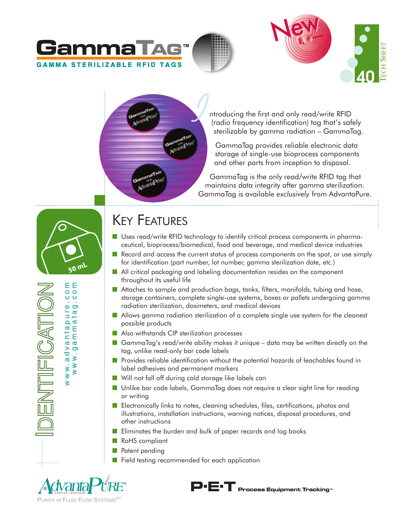







ntroducing the first and only read/write RFID (radio frequency identification) tag that's safely sterilizable by gamma radiation – GammaTag.

GammaTag provides reliable electronic data storage of single-use bioprocess components and other parts from inception to disposal.

GammaTag is the only read/write RFID tag that maintains data integrity after gamma sterilization. GammaTag is available *exclusively* from AdvantaPure.



εg  $\circ$   $\circ$ 

Ó  $\bullet$  $\Phi$  $\sigma$ pur  $\mathbf{\alpha}$ Ε anta  $\overline{a}$ 

www.advantapure.com www.gammatag.com

 $\frac{1}{\sigma}$  $\sigma$  $\overline{\mathbf{z}}$  $\mathbf{\overline{a}}$  $\geq$  $\leq$  W W .  $\overline{\mathsf{S}}$ 

UTIFICATIO

# KEY FEATURES

- Uses read/write RFID technology to identify critical process components in pharmaceutical, bioprocess/biomedical, food and beverage, and medical device industries
- Record and access the current status of process components on the spot, or use simply for identification (part number, lot number, gamma sterilization date, etc.)
- All critical packaging and labeling documentation resides on the component throughout its useful life
- Attaches to sample and production bags, tanks, filters, manifolds, tubing and hose, storage containers, complete single-use systems, boxes or pallets undergoing gamma radiation sterilization, dosimeters, and medical devices
- Allows gamma radiation sterilization of a complete single use system for the cleanest possible products
- Also withstands CIP sterilization processes
- GammaTag's read/write ability makes it unique data may be written directly on the tag, unlike read-only bar code labels
- Provides reliable identification without the potential hazards of leachables found in label adhesives and permanent markers
- Will not fall off during cold storage like labels can
- Unlike bar code labels, GammaTag does not require a clear sight line for reading or writing
- Electronically links to notes, cleaning schedules, files, certifications, photos and illustrations, installation instructions, warning notices, disposal procedures, and other instructions
- Eliminates the burden and bulk of paper records and log books
- RoHS compliant
- Patent pending
- Field testing recommended for each application